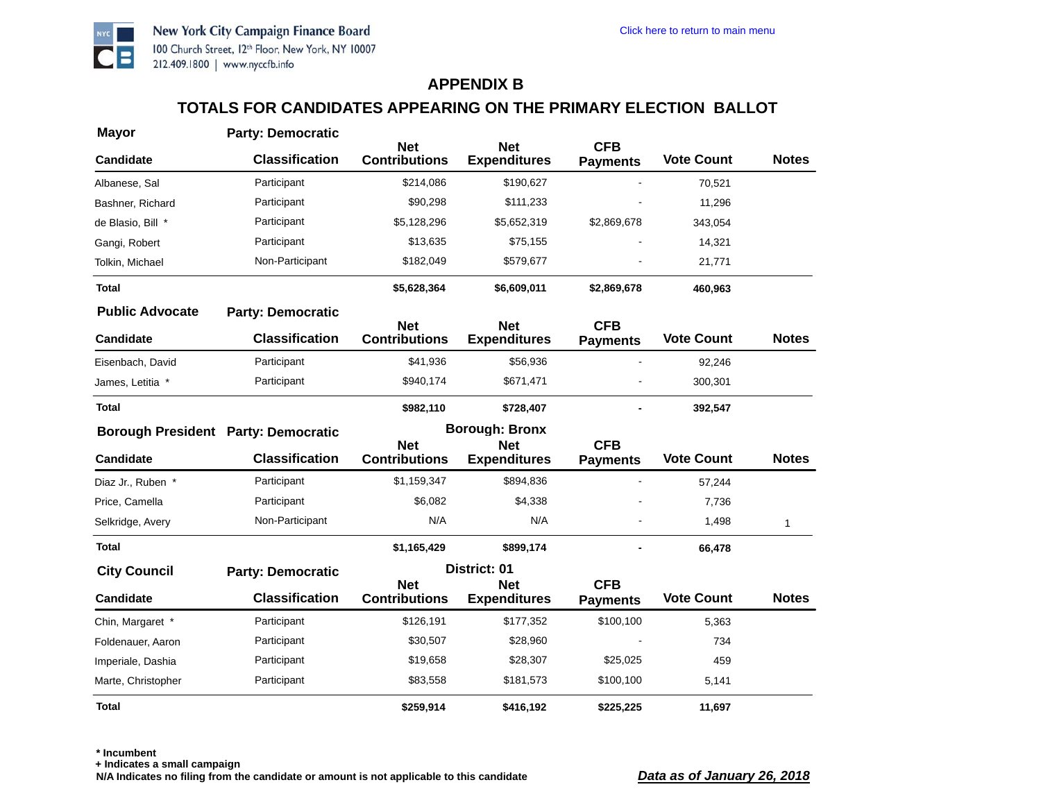

#### **TOTALS FOR CANDIDATES APPEARING ON THE PRIMARY ELECTION BALLOT**

| <b>Mayor</b>                               | <b>Party: Democratic</b> | <b>Net</b>                         | <b>Net</b>                        | <b>CFB</b>                    |                   |              |
|--------------------------------------------|--------------------------|------------------------------------|-----------------------------------|-------------------------------|-------------------|--------------|
| <b>Candidate</b>                           | <b>Classification</b>    | <b>Contributions</b>               | <b>Expenditures</b>               | <b>Payments</b>               | <b>Vote Count</b> | <b>Notes</b> |
| Albanese, Sal                              | Participant              | \$214,086                          | \$190,627                         |                               | 70,521            |              |
| Bashner, Richard                           | Participant              | \$90,298                           | \$111,233                         |                               | 11,296            |              |
| de Blasio, Bill *                          | Participant              | \$5,128,296                        | \$5,652,319                       | \$2,869,678                   | 343,054           |              |
| Gangi, Robert                              | Participant              | \$13,635                           | \$75,155                          |                               | 14,321            |              |
| Tolkin, Michael                            | Non-Participant          | \$182,049                          | \$579,677                         |                               | 21,771            |              |
| <b>Total</b>                               |                          | \$5,628,364                        | \$6,609,011                       | \$2,869,678                   | 460,963           |              |
| <b>Public Advocate</b>                     | <b>Party: Democratic</b> | <b>Net</b>                         | <b>Net</b>                        | <b>CFB</b>                    |                   |              |
| <b>Candidate</b>                           | <b>Classification</b>    | <b>Contributions</b>               | <b>Expenditures</b>               | <b>Payments</b>               | <b>Vote Count</b> | <b>Notes</b> |
| Eisenbach, David                           | Participant              | \$41,936                           | \$56,936                          |                               | 92,246            |              |
| James, Letitia *                           | Participant              | \$940,174                          | \$671,471                         |                               | 300,301           |              |
| <b>Total</b>                               |                          | \$982,110                          | \$728,407                         |                               | 392,547           |              |
| <b>Borough President Party: Democratic</b> |                          |                                    | <b>Borough: Bronx</b>             |                               |                   |              |
| <b>Candidate</b>                           | <b>Classification</b>    | <b>Net</b><br><b>Contributions</b> | <b>Net</b><br><b>Expenditures</b> | <b>CFB</b><br><b>Payments</b> | <b>Vote Count</b> | <b>Notes</b> |
| Diaz Jr., Ruben *                          | Participant              | \$1,159,347                        | \$894,836                         |                               | 57,244            |              |
| Price, Camella                             | Participant              | \$6,082                            | \$4,338                           |                               | 7,736             |              |
| Selkridge, Avery                           | Non-Participant          | N/A                                | N/A                               |                               | 1,498             | 1            |
| <b>Total</b>                               |                          | \$1,165,429                        | \$899,174                         |                               | 66,478            |              |
| <b>City Council</b>                        | <b>Party: Democratic</b> |                                    | District: 01                      |                               |                   |              |
| Candidate                                  | <b>Classification</b>    | <b>Net</b><br><b>Contributions</b> | <b>Net</b><br><b>Expenditures</b> | <b>CFB</b><br><b>Payments</b> | <b>Vote Count</b> | <b>Notes</b> |
| Chin, Margaret *                           | Participant              | \$126,191                          | \$177,352                         | \$100,100                     | 5,363             |              |
| Foldenauer, Aaron                          | Participant              | \$30,507                           | \$28,960                          |                               | 734               |              |
| Imperiale, Dashia                          | Participant              | \$19,658                           | \$28,307                          | \$25,025                      | 459               |              |
| Marte, Christopher                         | Participant              | \$83,558                           | \$181,573                         | \$100,100                     | 5,141             |              |
| <b>Total</b>                               |                          | \$259,914                          | \$416,192                         | \$225,225                     | 11,697            |              |

**\* Incumbent**

**+ Indicates a small campaign**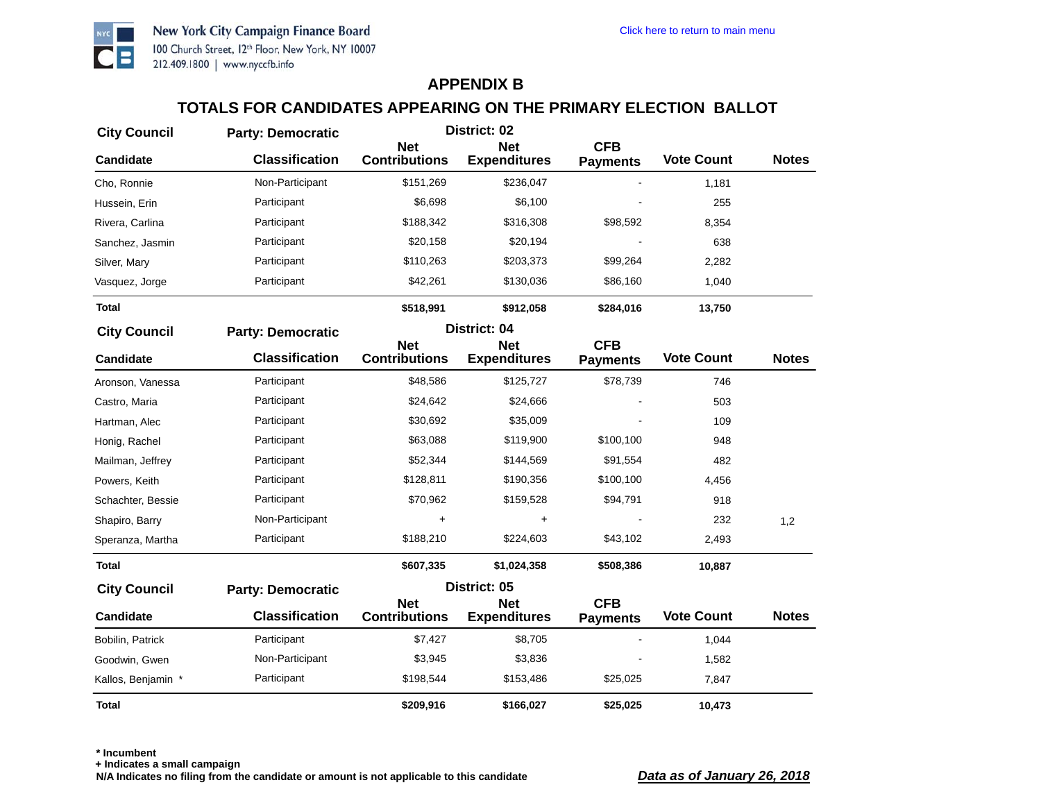

# **TOTALS FOR CANDIDATES APPEARING ON THE PRIMARY ELECTION BALLOT**

| <b>City Council</b> | <b>Party: Democratic</b> | District: 02                       |                                   |                               |                   |              |
|---------------------|--------------------------|------------------------------------|-----------------------------------|-------------------------------|-------------------|--------------|
| <b>Candidate</b>    | <b>Classification</b>    | <b>Net</b><br><b>Contributions</b> | <b>Net</b><br><b>Expenditures</b> | <b>CFB</b><br><b>Payments</b> | <b>Vote Count</b> | <b>Notes</b> |
| Cho, Ronnie         | Non-Participant          | \$151,269                          | \$236,047                         |                               | 1,181             |              |
| Hussein, Erin       | Participant              | \$6,698                            | \$6,100                           |                               | 255               |              |
| Rivera, Carlina     | Participant              | \$188,342                          | \$316,308                         | \$98,592                      | 8,354             |              |
| Sanchez, Jasmin     | Participant              | \$20,158                           | \$20,194                          |                               | 638               |              |
| Silver, Mary        | Participant              | \$110,263                          | \$203,373                         | \$99,264                      | 2,282             |              |
| Vasquez, Jorge      | Participant              | \$42,261                           | \$130,036                         | \$86,160                      | 1,040             |              |
| <b>Total</b>        |                          | \$518,991                          | \$912,058                         | \$284,016                     | 13,750            |              |
| <b>City Council</b> | <b>Party: Democratic</b> |                                    | District: 04                      |                               |                   |              |
| <b>Candidate</b>    | <b>Classification</b>    | <b>Net</b><br><b>Contributions</b> | <b>Net</b><br><b>Expenditures</b> | <b>CFB</b><br><b>Payments</b> | <b>Vote Count</b> | <b>Notes</b> |
| Aronson, Vanessa    | Participant              | \$48,586                           | \$125,727                         | \$78,739                      | 746               |              |
| Castro, Maria       | Participant              | \$24,642                           | \$24,666                          |                               | 503               |              |
| Hartman, Alec       | Participant              | \$30,692                           | \$35,009                          |                               | 109               |              |
| Honig, Rachel       | Participant              | \$63,088                           | \$119,900                         | \$100,100                     | 948               |              |
| Mailman, Jeffrey    | Participant              | \$52,344                           | \$144,569                         | \$91,554                      | 482               |              |
| Powers, Keith       | Participant              | \$128,811                          | \$190,356                         | \$100,100                     | 4,456             |              |
| Schachter, Bessie   | Participant              | \$70,962                           | \$159,528                         | \$94,791                      | 918               |              |
| Shapiro, Barry      | Non-Participant          | +                                  | +                                 |                               | 232               | 1,2          |
| Speranza, Martha    | Participant              | \$188,210                          | \$224,603                         | \$43,102                      | 2,493             |              |
| <b>Total</b>        |                          | \$607,335                          | \$1,024,358                       | \$508,386                     | 10,887            |              |
| <b>City Council</b> | <b>Party: Democratic</b> |                                    | District: 05                      |                               |                   |              |
| <b>Candidate</b>    | <b>Classification</b>    | <b>Net</b><br><b>Contributions</b> | <b>Net</b><br><b>Expenditures</b> | <b>CFB</b><br><b>Payments</b> | <b>Vote Count</b> | <b>Notes</b> |
| Bobilin, Patrick    | Participant              | \$7,427                            | \$8,705                           |                               | 1,044             |              |
| Goodwin, Gwen       | Non-Participant          | \$3,945                            | \$3,836                           |                               | 1,582             |              |
| Kallos, Benjamin *  | Participant              | \$198,544                          | \$153,486                         | \$25,025                      | 7,847             |              |
| Total               |                          | \$209,916                          | \$166,027                         | \$25,025                      | 10,473            |              |

**\* Incumbent**

**+ Indicates a small campaign**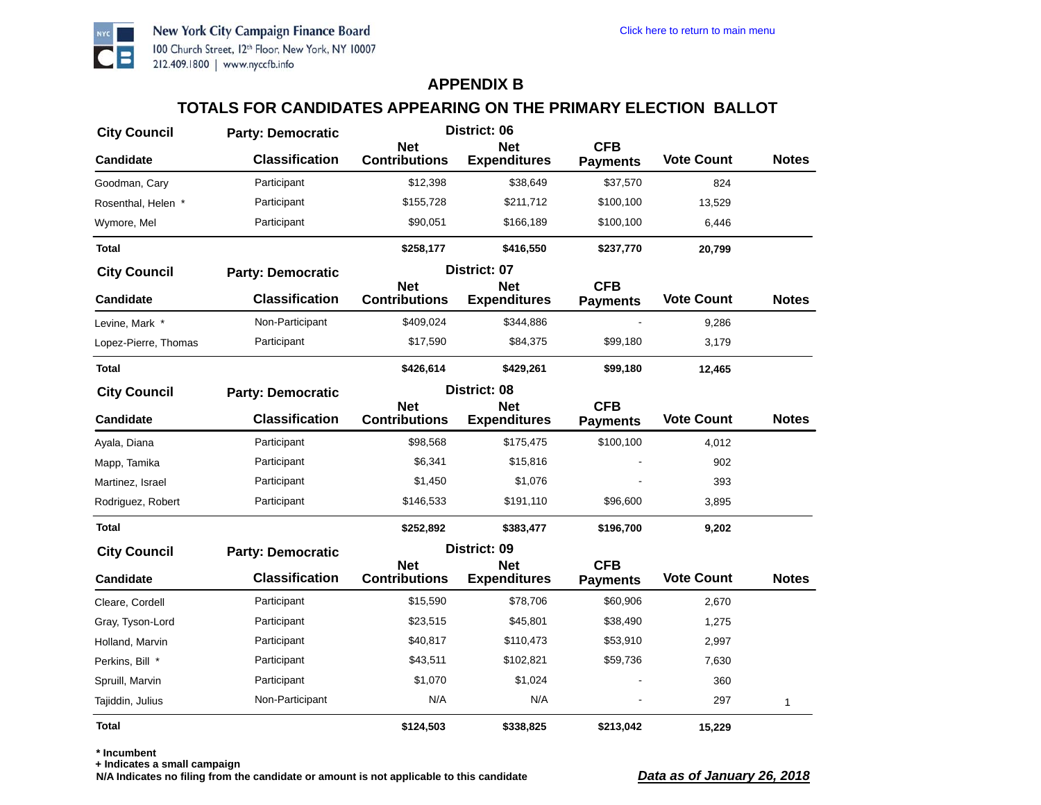

# **TOTALS FOR CANDIDATES APPEARING ON THE PRIMARY ELECTION BALLOT**

| <b>City Council</b>  | <b>Party: Democratic</b> | District: 06                       |                                   |                               |                   |              |
|----------------------|--------------------------|------------------------------------|-----------------------------------|-------------------------------|-------------------|--------------|
| <b>Candidate</b>     | <b>Classification</b>    | <b>Net</b><br><b>Contributions</b> | <b>Net</b><br><b>Expenditures</b> | <b>CFB</b><br><b>Payments</b> | <b>Vote Count</b> | <b>Notes</b> |
| Goodman, Cary        | Participant              | \$12,398                           | \$38,649                          | \$37,570                      | 824               |              |
| Rosenthal, Helen *   | Participant              | \$155,728                          | \$211,712                         | \$100,100                     | 13,529            |              |
| Wymore, Mel          | Participant              | \$90,051                           | \$166,189                         | \$100,100                     | 6,446             |              |
| <b>Total</b>         |                          | \$258,177                          | \$416,550                         | \$237,770                     | 20,799            |              |
| <b>City Council</b>  | <b>Party: Democratic</b> |                                    | District: 07                      |                               |                   |              |
| <b>Candidate</b>     | <b>Classification</b>    | <b>Net</b><br><b>Contributions</b> | <b>Net</b><br><b>Expenditures</b> | <b>CFB</b><br><b>Payments</b> | <b>Vote Count</b> | <b>Notes</b> |
| Levine, Mark *       | Non-Participant          | \$409,024                          | \$344,886                         |                               | 9,286             |              |
| Lopez-Pierre, Thomas | Participant              | \$17,590                           | \$84,375                          | \$99,180                      | 3,179             |              |
| Total                |                          | \$426,614                          | \$429,261                         | \$99,180                      | 12,465            |              |
| <b>City Council</b>  | <b>Party: Democratic</b> |                                    | District: 08                      |                               |                   |              |
| <b>Candidate</b>     | <b>Classification</b>    | <b>Net</b><br><b>Contributions</b> | <b>Net</b><br><b>Expenditures</b> | <b>CFB</b><br><b>Payments</b> | <b>Vote Count</b> | <b>Notes</b> |
| Ayala, Diana         | Participant              | \$98,568                           | \$175,475                         | \$100,100                     | 4,012             |              |
| Mapp, Tamika         | Participant              | \$6,341                            | \$15,816                          |                               | 902               |              |
| Martinez, Israel     | Participant              | \$1,450                            | \$1,076                           |                               | 393               |              |
| Rodriguez, Robert    | Participant              | \$146,533                          | \$191,110                         | \$96,600                      | 3,895             |              |
| <b>Total</b>         |                          | \$252,892                          | \$383,477                         | \$196,700                     | 9,202             |              |
| <b>City Council</b>  | <b>Party: Democratic</b> |                                    | District: 09                      |                               |                   |              |
| <b>Candidate</b>     | <b>Classification</b>    | <b>Net</b><br><b>Contributions</b> | <b>Net</b><br><b>Expenditures</b> | <b>CFB</b><br><b>Payments</b> | <b>Vote Count</b> | <b>Notes</b> |
| Cleare, Cordell      | Participant              | \$15,590                           | \$78,706                          | \$60,906                      | 2,670             |              |
| Gray, Tyson-Lord     | Participant              | \$23,515                           | \$45,801                          | \$38,490                      | 1,275             |              |
| Holland, Marvin      | Participant              | \$40,817                           | \$110,473                         | \$53,910                      | 2,997             |              |
| Perkins, Bill *      | Participant              | \$43,511                           | \$102,821                         | \$59,736                      | 7,630             |              |
| Spruill, Marvin      | Participant              | \$1,070                            | \$1,024                           |                               | 360               |              |
| Tajiddin, Julius     | Non-Participant          | N/A                                | N/A                               |                               | 297               | 1            |
| Total                |                          | \$124,503                          | \$338,825                         | \$213,042                     | 15,229            |              |

**\* Incumbent**

**+ Indicates a small campaign**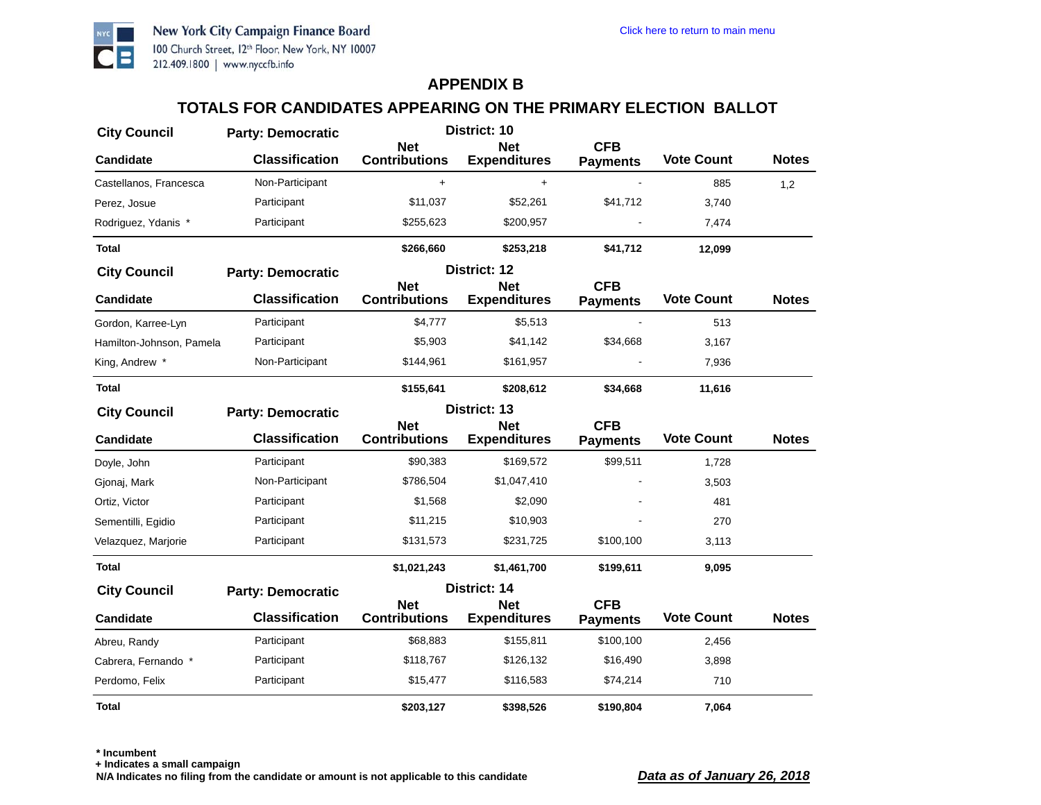

#### **TOTALS FOR CANDIDATES APPEARING ON THE PRIMARY ELECTION BALLOT**

| <b>City Council</b>      | <b>Party: Democratic</b> | District: 10                       |                                   |                               |                   |              |
|--------------------------|--------------------------|------------------------------------|-----------------------------------|-------------------------------|-------------------|--------------|
| Candidate                | <b>Classification</b>    | <b>Net</b><br><b>Contributions</b> | <b>Net</b><br><b>Expenditures</b> | <b>CFB</b><br><b>Payments</b> | <b>Vote Count</b> | <b>Notes</b> |
| Castellanos, Francesca   | Non-Participant          | +                                  | +                                 |                               | 885               | 1,2          |
| Perez, Josue             | Participant              | \$11,037                           | \$52,261                          | \$41,712                      | 3,740             |              |
| Rodriguez, Ydanis *      | Participant              | \$255,623                          | \$200,957                         |                               | 7,474             |              |
| Total                    |                          | \$266,660                          | \$253,218                         | \$41,712                      | 12,099            |              |
| <b>City Council</b>      | <b>Party: Democratic</b> |                                    | District: 12                      |                               |                   |              |
| <b>Candidate</b>         | <b>Classification</b>    | <b>Net</b><br><b>Contributions</b> | <b>Net</b><br><b>Expenditures</b> | <b>CFB</b><br><b>Payments</b> | <b>Vote Count</b> | <b>Notes</b> |
| Gordon, Karree-Lyn       | Participant              | \$4,777                            | \$5,513                           |                               | 513               |              |
| Hamilton-Johnson, Pamela | Participant              | \$5,903                            | \$41,142                          | \$34,668                      | 3,167             |              |
| King, Andrew *           | Non-Participant          | \$144,961                          | \$161,957                         |                               | 7,936             |              |
| Total                    |                          | \$155,641                          | \$208,612                         | \$34,668                      | 11,616            |              |
| <b>City Council</b>      | <b>Party: Democratic</b> |                                    | District: 13                      |                               |                   |              |
| <b>Candidate</b>         | <b>Classification</b>    | <b>Net</b><br><b>Contributions</b> | <b>Net</b><br><b>Expenditures</b> | <b>CFB</b><br><b>Payments</b> | <b>Vote Count</b> | <b>Notes</b> |
| Doyle, John              | Participant              | \$90,383                           | \$169,572                         | \$99,511                      | 1,728             |              |
| Gjonaj, Mark             | Non-Participant          | \$786,504                          | \$1,047,410                       |                               | 3,503             |              |
| Ortiz, Victor            | Participant              | \$1,568                            | \$2,090                           |                               | 481               |              |
| Sementilli, Egidio       | Participant              | \$11,215                           | \$10,903                          |                               | 270               |              |
| Velazquez, Marjorie      | Participant              | \$131,573                          | \$231,725                         | \$100,100                     | 3,113             |              |
| Total                    |                          | \$1,021,243                        | \$1,461,700                       | \$199,611                     | 9,095             |              |
| <b>City Council</b>      | <b>Party: Democratic</b> |                                    | District: 14                      |                               |                   |              |
| <b>Candidate</b>         | <b>Classification</b>    | <b>Net</b><br><b>Contributions</b> | <b>Net</b><br><b>Expenditures</b> | <b>CFB</b><br><b>Payments</b> | <b>Vote Count</b> | <b>Notes</b> |
| Abreu, Randy             | Participant              | \$68,883                           | \$155,811                         | \$100,100                     | 2,456             |              |
| Cabrera, Fernando *      | Participant              | \$118,767                          | \$126,132                         | \$16,490                      | 3,898             |              |
| Perdomo, Felix           | Participant              | \$15,477                           | \$116,583                         | \$74,214                      | 710               |              |
| Total                    |                          | \$203,127                          | \$398,526                         | \$190,804                     | 7,064             |              |

**+ Indicates a small campaign**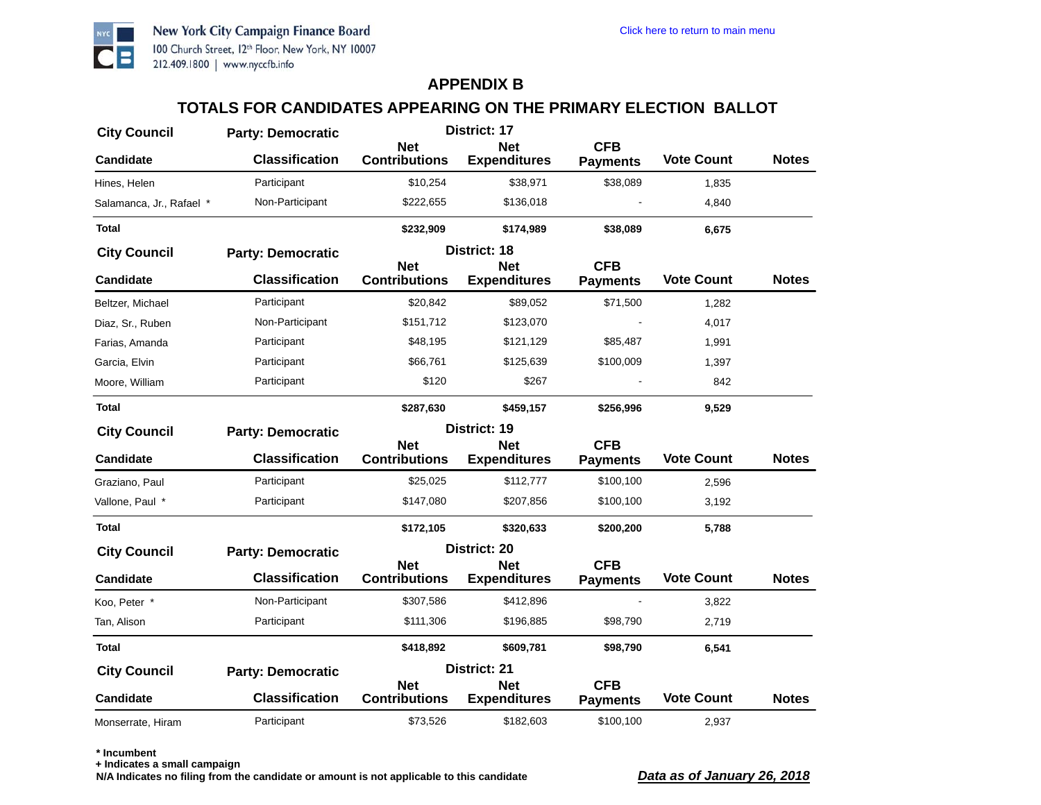

# **TOTALS FOR CANDIDATES APPEARING ON THE PRIMARY ELECTION BALLOT**

| <b>City Council</b>      | <b>Party: Democratic</b> |                                    | District: 17                      |                               |                   |              |
|--------------------------|--------------------------|------------------------------------|-----------------------------------|-------------------------------|-------------------|--------------|
| <b>Candidate</b>         | <b>Classification</b>    | <b>Net</b><br><b>Contributions</b> | <b>Net</b><br><b>Expenditures</b> | <b>CFB</b><br><b>Payments</b> | <b>Vote Count</b> | <b>Notes</b> |
| Hines, Helen             | Participant              | \$10,254                           | \$38,971                          | \$38,089                      | 1,835             |              |
| Salamanca, Jr., Rafael * | Non-Participant          | \$222,655                          | \$136,018                         |                               | 4,840             |              |
| <b>Total</b>             |                          | \$232,909                          | \$174,989                         | \$38,089                      | 6,675             |              |
| <b>City Council</b>      | <b>Party: Democratic</b> |                                    | District: 18                      |                               |                   |              |
| <b>Candidate</b>         | <b>Classification</b>    | <b>Net</b><br><b>Contributions</b> | <b>Net</b><br><b>Expenditures</b> | <b>CFB</b><br><b>Payments</b> | <b>Vote Count</b> | <b>Notes</b> |
| Beltzer, Michael         | Participant              | \$20,842                           | \$89,052                          | \$71,500                      | 1,282             |              |
| Diaz, Sr., Ruben         | Non-Participant          | \$151,712                          | \$123,070                         |                               | 4,017             |              |
| Farias, Amanda           | Participant              | \$48,195                           | \$121,129                         | \$85,487                      | 1,991             |              |
| Garcia, Elvin            | Participant              | \$66,761                           | \$125,639                         | \$100,009                     | 1,397             |              |
| Moore, William           | Participant              | \$120                              | \$267                             |                               | 842               |              |
| Total                    |                          | \$287,630                          | \$459,157                         | \$256,996                     | 9,529             |              |
| <b>City Council</b>      | <b>Party: Democratic</b> |                                    | District: 19                      |                               |                   |              |
| <b>Candidate</b>         | <b>Classification</b>    | <b>Net</b><br><b>Contributions</b> | <b>Net</b><br><b>Expenditures</b> | <b>CFB</b><br><b>Payments</b> | <b>Vote Count</b> | <b>Notes</b> |
| Graziano, Paul           | Participant              | \$25,025                           | \$112,777                         | \$100,100                     | 2,596             |              |
| Vallone, Paul *          | Participant              | \$147,080                          | \$207,856                         | \$100,100                     | 3,192             |              |
| Total                    |                          | \$172,105                          | \$320,633                         | \$200,200                     | 5,788             |              |
| <b>City Council</b>      | <b>Party: Democratic</b> |                                    | District: 20                      |                               |                   |              |
| <b>Candidate</b>         | <b>Classification</b>    | <b>Net</b><br><b>Contributions</b> | <b>Net</b><br><b>Expenditures</b> | <b>CFB</b><br><b>Payments</b> | <b>Vote Count</b> | <b>Notes</b> |
| Koo, Peter *             | Non-Participant          | \$307,586                          | \$412,896                         |                               | 3,822             |              |
| Tan, Alison              | Participant              | \$111,306                          | \$196,885                         | \$98,790                      | 2,719             |              |
| <b>Total</b>             |                          | \$418,892                          | \$609,781                         | \$98,790                      | 6,541             |              |
| <b>City Council</b>      | <b>Party: Democratic</b> |                                    | District: 21                      |                               |                   |              |
| <b>Candidate</b>         | <b>Classification</b>    | <b>Net</b><br><b>Contributions</b> | <b>Net</b><br><b>Expenditures</b> | <b>CFB</b><br><b>Payments</b> | <b>Vote Count</b> | <b>Notes</b> |
| Monserrate, Hiram        | Participant              | \$73,526                           | \$182,603                         | \$100,100                     | 2,937             |              |

**\* Incumbent**

**+ Indicates a small campaign**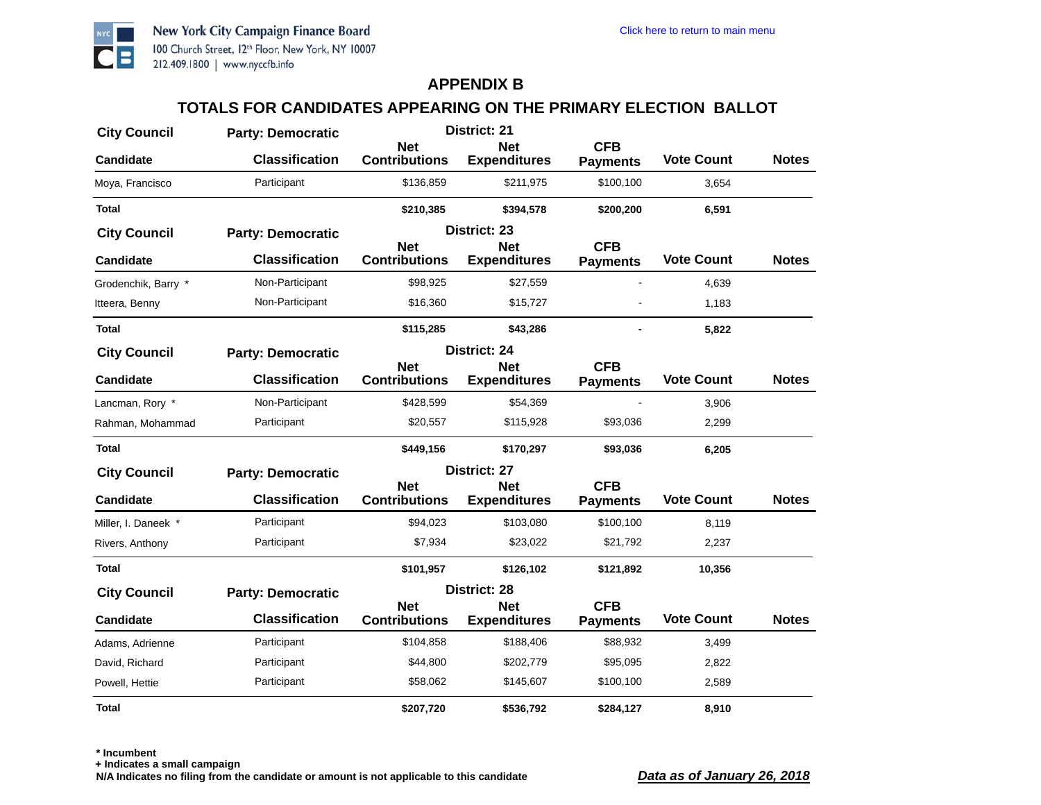

# **TOTALS FOR CANDIDATES APPEARING ON THE PRIMARY ELECTION BALLOT**

| <b>City Council</b> | <b>Party: Democratic</b> |                                    | District: 21                      |                               |                   |              |
|---------------------|--------------------------|------------------------------------|-----------------------------------|-------------------------------|-------------------|--------------|
| <b>Candidate</b>    | <b>Classification</b>    | <b>Net</b><br><b>Contributions</b> | <b>Net</b><br><b>Expenditures</b> | <b>CFB</b><br><b>Payments</b> | <b>Vote Count</b> | <b>Notes</b> |
| Moya, Francisco     | Participant              | \$136,859                          | \$211,975                         | \$100,100                     | 3,654             |              |
| <b>Total</b>        |                          | \$210,385                          | \$394,578                         | \$200,200                     | 6,591             |              |
| <b>City Council</b> | <b>Party: Democratic</b> |                                    | District: 23                      |                               |                   |              |
| <b>Candidate</b>    | <b>Classification</b>    | <b>Net</b><br><b>Contributions</b> | <b>Net</b><br><b>Expenditures</b> | <b>CFB</b><br><b>Payments</b> | <b>Vote Count</b> | <b>Notes</b> |
| Grodenchik, Barry * | Non-Participant          | \$98,925                           | \$27,559                          |                               | 4,639             |              |
| Itteera, Benny      | Non-Participant          | \$16,360                           | \$15,727                          |                               | 1,183             |              |
| Total               |                          | \$115,285                          | \$43,286                          |                               | 5,822             |              |
| <b>City Council</b> | <b>Party: Democratic</b> |                                    | District: 24                      |                               |                   |              |
| <b>Candidate</b>    | <b>Classification</b>    | <b>Net</b><br><b>Contributions</b> | <b>Net</b><br><b>Expenditures</b> | <b>CFB</b><br><b>Payments</b> | <b>Vote Count</b> | <b>Notes</b> |
| Lancman, Rory *     | Non-Participant          | \$428,599                          | \$54,369                          |                               | 3,906             |              |
| Rahman, Mohammad    | Participant              | \$20,557                           | \$115,928                         | \$93,036                      | 2,299             |              |
| <b>Total</b>        |                          | \$449,156                          | \$170,297                         | \$93,036                      | 6,205             |              |
| <b>City Council</b> | <b>Party: Democratic</b> |                                    | District: 27                      |                               |                   |              |
| <b>Candidate</b>    | <b>Classification</b>    | <b>Net</b><br><b>Contributions</b> | <b>Net</b><br><b>Expenditures</b> | <b>CFB</b><br><b>Payments</b> | <b>Vote Count</b> | <b>Notes</b> |
| Miller, I. Daneek * | Participant              | \$94,023                           | \$103,080                         | \$100,100                     | 8,119             |              |
| Rivers, Anthony     | Participant              | \$7,934                            | \$23,022                          | \$21,792                      | 2,237             |              |
| Total               |                          | \$101,957                          | \$126,102                         | \$121,892                     | 10,356            |              |
| <b>City Council</b> | <b>Party: Democratic</b> |                                    | District: 28                      |                               |                   |              |
| <b>Candidate</b>    | <b>Classification</b>    | <b>Net</b><br><b>Contributions</b> | <b>Net</b><br><b>Expenditures</b> | <b>CFB</b><br><b>Payments</b> | <b>Vote Count</b> | <b>Notes</b> |
| Adams, Adrienne     | Participant              | \$104,858                          | \$188,406                         | \$88,932                      | 3,499             |              |
| David, Richard      | Participant              | \$44,800                           | \$202,779                         | \$95,095                      | 2,822             |              |
| Powell, Hettie      | Participant              | \$58,062                           | \$145,607                         | \$100,100                     | 2,589             |              |
| <b>Total</b>        |                          | \$207,720                          | \$536,792                         | \$284,127                     | 8,910             |              |

**\* Incumbent**

**+ Indicates a small campaign**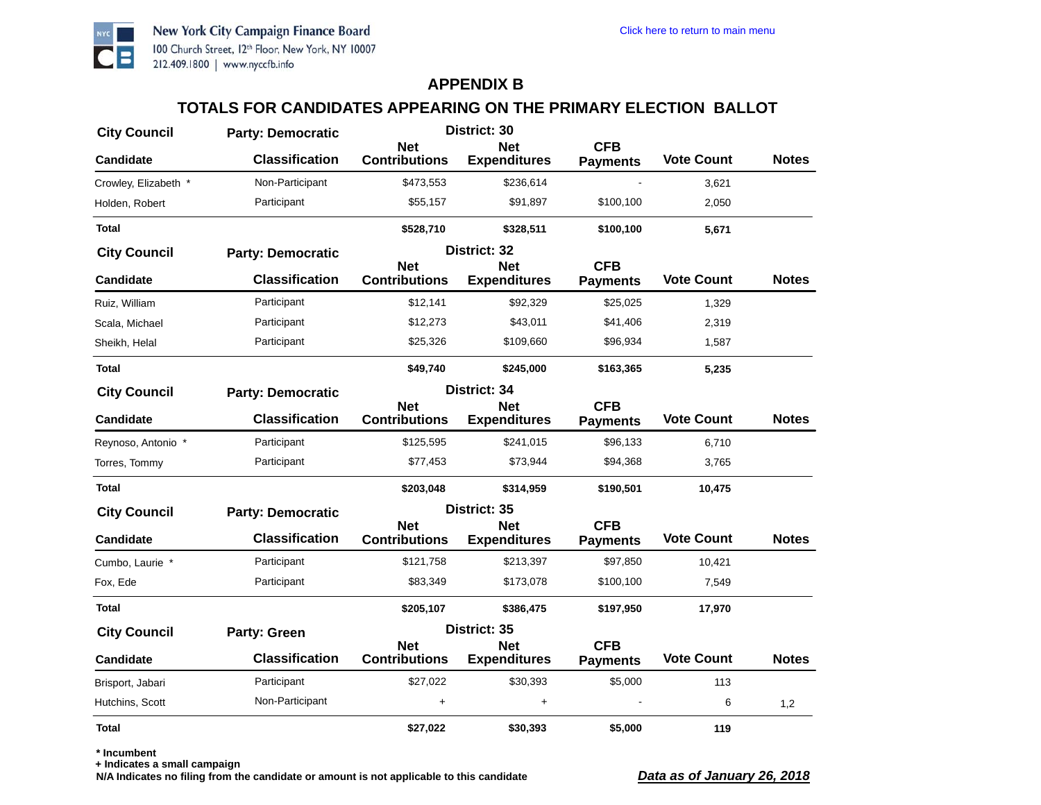

# **TOTALS FOR CANDIDATES APPEARING ON THE PRIMARY ELECTION BALLOT**

| <b>City Council</b>  | <b>Party: Democratic</b> | District: 30                       |                                   |                               |                   |              |
|----------------------|--------------------------|------------------------------------|-----------------------------------|-------------------------------|-------------------|--------------|
| <b>Candidate</b>     | <b>Classification</b>    | <b>Net</b><br><b>Contributions</b> | <b>Net</b><br><b>Expenditures</b> | <b>CFB</b><br><b>Payments</b> | <b>Vote Count</b> | <b>Notes</b> |
| Crowley, Elizabeth * | Non-Participant          | \$473,553                          | \$236,614                         |                               | 3,621             |              |
| Holden, Robert       | Participant              | \$55,157                           | \$91,897                          | \$100,100                     | 2,050             |              |
| <b>Total</b>         |                          | \$528,710                          | \$328,511                         | \$100,100                     | 5,671             |              |
| <b>City Council</b>  | <b>Party: Democratic</b> |                                    | District: 32                      |                               |                   |              |
| <b>Candidate</b>     | <b>Classification</b>    | <b>Net</b><br><b>Contributions</b> | <b>Net</b><br><b>Expenditures</b> | <b>CFB</b><br><b>Payments</b> | <b>Vote Count</b> | <b>Notes</b> |
| Ruiz, William        | Participant              | \$12,141                           | \$92,329                          | \$25,025                      | 1,329             |              |
| Scala, Michael       | Participant              | \$12,273                           | \$43,011                          | \$41,406                      | 2,319             |              |
| Sheikh, Helal        | Participant              | \$25,326                           | \$109,660                         | \$96,934                      | 1,587             |              |
| <b>Total</b>         |                          | \$49,740                           | \$245,000                         | \$163,365                     | 5,235             |              |
| <b>City Council</b>  | <b>Party: Democratic</b> |                                    | District: 34                      |                               |                   |              |
| <b>Candidate</b>     | <b>Classification</b>    | <b>Net</b><br><b>Contributions</b> | <b>Net</b><br><b>Expenditures</b> | <b>CFB</b><br><b>Payments</b> | <b>Vote Count</b> | <b>Notes</b> |
| Reynoso, Antonio *   | Participant              | \$125,595                          | \$241,015                         | \$96,133                      | 6,710             |              |
| Torres, Tommy        | Participant              | \$77,453                           | \$73,944                          | \$94,368                      | 3,765             |              |
| <b>Total</b>         |                          | \$203,048                          | \$314,959                         | \$190,501                     | 10,475            |              |
| <b>City Council</b>  | <b>Party: Democratic</b> |                                    | District: 35                      |                               |                   |              |
| <b>Candidate</b>     | <b>Classification</b>    | <b>Net</b><br><b>Contributions</b> | <b>Net</b><br><b>Expenditures</b> | <b>CFB</b><br><b>Payments</b> | <b>Vote Count</b> | <b>Notes</b> |
| Cumbo, Laurie *      | Participant              | \$121,758                          | \$213,397                         | \$97,850                      | 10,421            |              |
| Fox, Ede             | Participant              | \$83,349                           | \$173,078                         | \$100,100                     | 7,549             |              |
| Total                |                          | \$205,107                          | \$386,475                         | \$197,950                     | 17,970            |              |
| <b>City Council</b>  | <b>Party: Green</b>      |                                    | District: 35                      |                               |                   |              |
| <b>Candidate</b>     | <b>Classification</b>    | <b>Net</b><br><b>Contributions</b> | <b>Net</b><br><b>Expenditures</b> | <b>CFB</b><br><b>Payments</b> | <b>Vote Count</b> | <b>Notes</b> |
| Brisport, Jabari     | Participant              | \$27,022                           | \$30,393                          | \$5,000                       | 113               |              |
| Hutchins, Scott      | Non-Participant          | $\ddot{}$                          | $\ddot{}$                         |                               | 6                 | 1,2          |
| <b>Total</b>         |                          | \$27.022                           | \$30,393                          | \$5.000                       | 119               |              |

**\* Incumbent**

**+ Indicates a small campaign**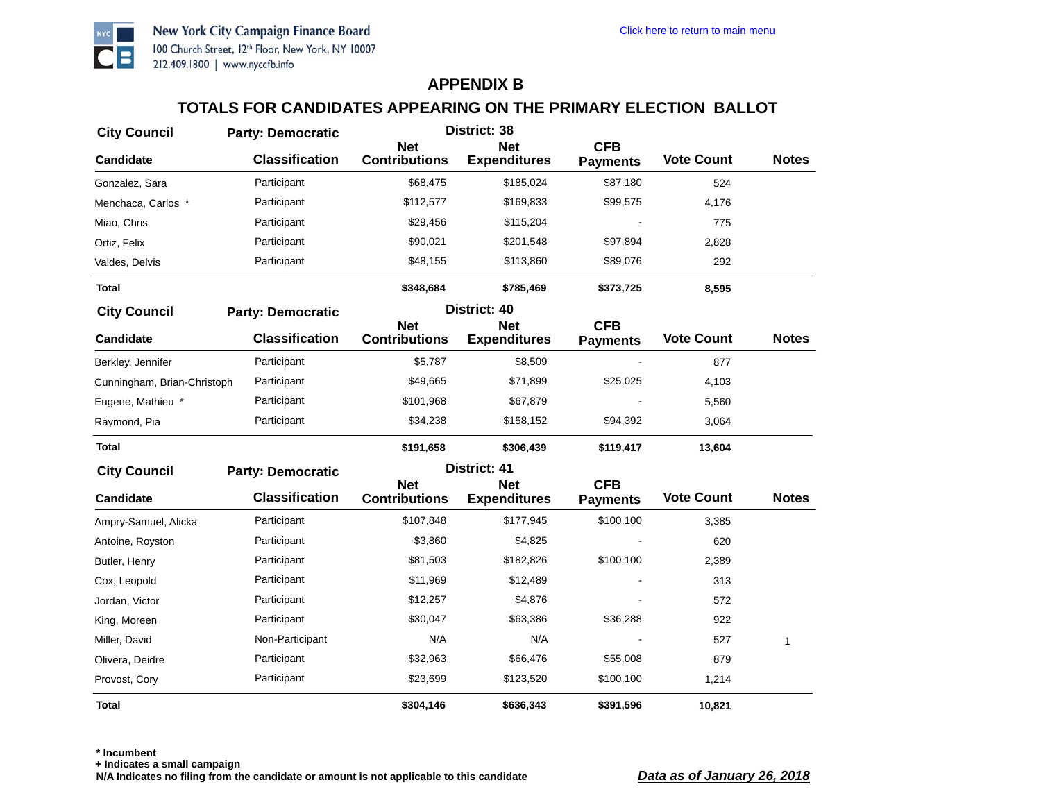

# **TOTALS FOR CANDIDATES APPEARING ON THE PRIMARY ELECTION BALLOT**

| <b>City Council</b>         | <b>Party: Democratic</b> | District: 38                       |                                   |                               |                   |              |
|-----------------------------|--------------------------|------------------------------------|-----------------------------------|-------------------------------|-------------------|--------------|
| <b>Candidate</b>            | <b>Classification</b>    | <b>Net</b><br><b>Contributions</b> | <b>Net</b><br><b>Expenditures</b> | <b>CFB</b><br><b>Payments</b> | <b>Vote Count</b> | <b>Notes</b> |
| Gonzalez, Sara              | Participant              | \$68,475                           | \$185,024                         | \$87,180                      | 524               |              |
| Menchaca, Carlos *          | Participant              | \$112,577                          | \$169,833                         | \$99,575                      | 4,176             |              |
| Miao, Chris                 | Participant              | \$29,456                           | \$115,204                         |                               | 775               |              |
| Ortiz, Felix                | Participant              | \$90,021                           | \$201,548                         | \$97,894                      | 2,828             |              |
| Valdes, Delvis              | Participant              | \$48,155                           | \$113,860                         | \$89,076                      | 292               |              |
| <b>Total</b>                |                          | \$348,684                          | \$785,469                         | \$373,725                     | 8,595             |              |
| <b>City Council</b>         | <b>Party: Democratic</b> |                                    | District: 40                      |                               |                   |              |
| <b>Candidate</b>            | <b>Classification</b>    | <b>Net</b><br><b>Contributions</b> | <b>Net</b><br><b>Expenditures</b> | <b>CFB</b><br><b>Payments</b> | <b>Vote Count</b> | <b>Notes</b> |
| Berkley, Jennifer           | Participant              | \$5,787                            | \$8,509                           |                               | 877               |              |
| Cunningham, Brian-Christoph | Participant              | \$49,665                           | \$71,899                          | \$25,025                      | 4,103             |              |
| Eugene, Mathieu *           | Participant              | \$101,968                          | \$67,879                          |                               | 5,560             |              |
| Raymond, Pia                | Participant              | \$34,238                           | \$158,152                         | \$94,392                      | 3,064             |              |
| Total                       |                          | \$191,658                          | \$306,439                         | \$119,417                     | 13,604            |              |
| <b>City Council</b>         | <b>Party: Democratic</b> |                                    | District: 41                      |                               |                   |              |
| <b>Candidate</b>            | <b>Classification</b>    | <b>Net</b><br><b>Contributions</b> | <b>Net</b><br><b>Expenditures</b> | <b>CFB</b><br><b>Payments</b> | <b>Vote Count</b> | <b>Notes</b> |
| Ampry-Samuel, Alicka        | Participant              | \$107,848                          | \$177,945                         | \$100,100                     | 3,385             |              |
| Antoine, Royston            | Participant              | \$3,860                            | \$4,825                           |                               | 620               |              |
| Butler, Henry               | Participant              | \$81,503                           | \$182,826                         | \$100,100                     | 2,389             |              |
| Cox, Leopold                | Participant              | \$11,969                           | \$12,489                          |                               | 313               |              |
| Jordan, Victor              | Participant              | \$12,257                           | \$4,876                           |                               | 572               |              |
| King, Moreen                | Participant              | \$30,047                           | \$63,386                          | \$36,288                      | 922               |              |
| Miller, David               | Non-Participant          | N/A                                | N/A                               |                               | 527               | $\mathbf{1}$ |
| Olivera, Deidre             | Participant              | \$32,963                           | \$66,476                          | \$55,008                      | 879               |              |
| Provost, Cory               | Participant              | \$23,699                           | \$123,520                         | \$100,100                     | 1,214             |              |
| Total                       |                          | \$304,146                          | \$636,343                         | \$391,596                     | 10,821            |              |

**\* Incumbent**

**+ Indicates a small campaign**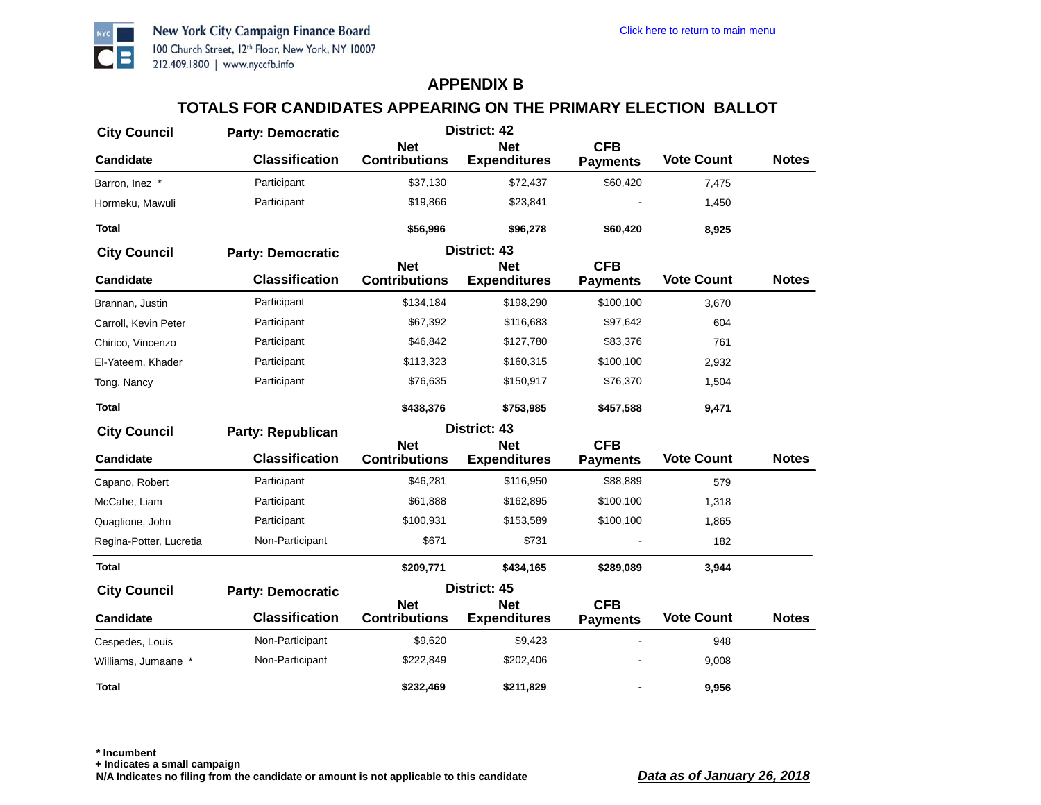

# **TOTALS FOR CANDIDATES APPEARING ON THE PRIMARY ELECTION BALLOT**

| <b>City Council</b>     | <b>Party: Democratic</b> | District: 42                       |                                   |                               |                   |              |
|-------------------------|--------------------------|------------------------------------|-----------------------------------|-------------------------------|-------------------|--------------|
| <b>Candidate</b>        | <b>Classification</b>    | <b>Net</b><br><b>Contributions</b> | <b>Net</b><br><b>Expenditures</b> | <b>CFB</b><br><b>Payments</b> | <b>Vote Count</b> | <b>Notes</b> |
| Barron, Inez *          | Participant              | \$37,130                           | \$72,437                          | \$60,420                      | 7,475             |              |
| Hormeku, Mawuli         | Participant              | \$19,866                           | \$23,841                          |                               | 1,450             |              |
| <b>Total</b>            |                          | \$56,996                           | \$96,278                          | \$60,420                      | 8,925             |              |
| <b>City Council</b>     | <b>Party: Democratic</b> |                                    | District: 43                      |                               |                   |              |
| <b>Candidate</b>        | <b>Classification</b>    | <b>Net</b><br><b>Contributions</b> | <b>Net</b><br><b>Expenditures</b> | <b>CFB</b><br><b>Payments</b> | <b>Vote Count</b> | <b>Notes</b> |
| Brannan, Justin         | Participant              | \$134,184                          | \$198,290                         | \$100,100                     | 3,670             |              |
| Carroll, Kevin Peter    | Participant              | \$67,392                           | \$116,683                         | \$97,642                      | 604               |              |
| Chirico, Vincenzo       | Participant              | \$46,842                           | \$127,780                         | \$83,376                      | 761               |              |
| El-Yateem, Khader       | Participant              | \$113,323                          | \$160,315                         | \$100,100                     | 2,932             |              |
| Tong, Nancy             | Participant              | \$76,635                           | \$150,917                         | \$76,370                      | 1,504             |              |
| <b>Total</b>            |                          | \$438,376                          | \$753,985                         | \$457,588                     | 9,471             |              |
| <b>City Council</b>     | <b>Party: Republican</b> |                                    | District: 43                      |                               |                   |              |
| <b>Candidate</b>        | <b>Classification</b>    | <b>Net</b><br><b>Contributions</b> | <b>Net</b><br><b>Expenditures</b> | <b>CFB</b><br><b>Payments</b> | <b>Vote Count</b> | <b>Notes</b> |
| Capano, Robert          | Participant              | \$46,281                           | \$116,950                         | \$88,889                      | 579               |              |
| McCabe, Liam            | Participant              | \$61,888                           | \$162,895                         | \$100,100                     | 1,318             |              |
| Quaglione, John         | Participant              | \$100,931                          | \$153,589                         | \$100,100                     | 1,865             |              |
| Regina-Potter, Lucretia | Non-Participant          | \$671                              | \$731                             |                               | 182               |              |
| <b>Total</b>            |                          | \$209,771                          | \$434,165                         | \$289,089                     | 3,944             |              |
| <b>City Council</b>     | <b>Party: Democratic</b> |                                    | District: 45                      |                               |                   |              |
| <b>Candidate</b>        | <b>Classification</b>    | <b>Net</b><br><b>Contributions</b> | <b>Net</b><br><b>Expenditures</b> | <b>CFB</b><br><b>Payments</b> | <b>Vote Count</b> | <b>Notes</b> |
| Cespedes, Louis         | Non-Participant          | \$9,620                            | \$9,423                           |                               | 948               |              |
| Williams, Jumaane *     | Non-Participant          | \$222,849                          | \$202,406                         |                               | 9,008             |              |
| Total                   |                          | \$232,469                          | \$211,829                         |                               | 9,956             |              |

**\* Incumbent**

**+ Indicates a small campaign**